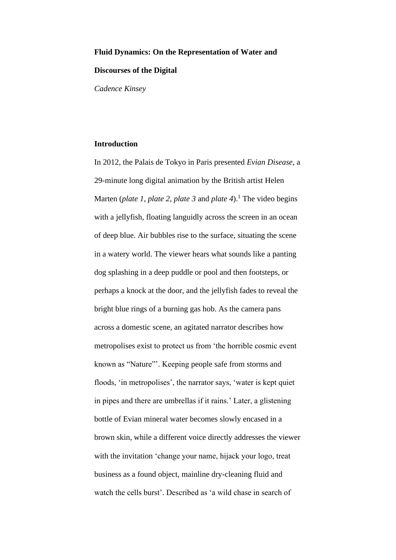# **Fluid Dynamics: On the Representation of Water and**

## **Discourses of the Digital**

*Cadence Kinsey*

## **Introduction**

In 2012, the Palais de Tokyo in Paris presented *Evian Disease*, a 29-minute long digital animation by the British artist Helen Marten (*plate 1*, *plate 2*, *plate 3* and *plate 4*). <sup>1</sup> The video begins with a jellyfish, floating languidly across the screen in an ocean of deep blue. Air bubbles rise to the surface, situating the scene in a watery world. The viewer hears what sounds like a panting dog splashing in a deep puddle or pool and then footsteps, or perhaps a knock at the door, and the jellyfish fades to reveal the bright blue rings of a burning gas hob. As the camera pans across a domestic scene, an agitated narrator describes how metropolises exist to protect us from 'the horrible cosmic event known as "Nature"'. Keeping people safe from storms and floods, 'in metropolises', the narrator says, 'water is kept quiet in pipes and there are umbrellas if it rains.' Later, a glistening bottle of Evian mineral water becomes slowly encased in a brown skin, while a different voice directly addresses the viewer with the invitation 'change your name, hijack your logo, treat business as a found object, mainline dry-cleaning fluid and watch the cells burst'. Described as 'a wild chase in search of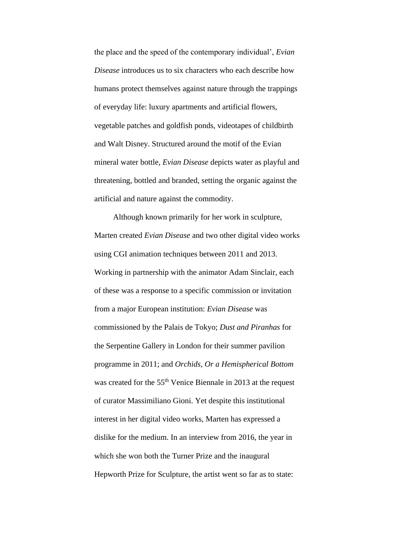the place and the speed of the contemporary individual', *Evian Disease* introduces us to six characters who each describe how humans protect themselves against nature through the trappings of everyday life: luxury apartments and artificial flowers, vegetable patches and goldfish ponds, videotapes of childbirth and Walt Disney. Structured around the motif of the Evian mineral water bottle, *Evian Disease* depicts water as playful and threatening, bottled and branded, setting the organic against the artificial and nature against the commodity.

Although known primarily for her work in sculpture, Marten created *Evian Disease* and two other digital video works using CGI animation techniques between 2011 and 2013. Working in partnership with the animator Adam Sinclair, each of these was a response to a specific commission or invitation from a major European institution: *Evian Disease* was commissioned by the Palais de Tokyo; *Dust and Piranhas* for the Serpentine Gallery in London for their summer pavilion programme in 2011; and *Orchids, Or a Hemispherical Bottom* was created for the 55<sup>th</sup> Venice Biennale in 2013 at the request of curator Massimiliano Gioni. Yet despite this institutional interest in her digital video works, Marten has expressed a dislike for the medium. In an interview from 2016, the year in which she won both the Turner Prize and the inaugural Hepworth Prize for Sculpture, the artist went so far as to state: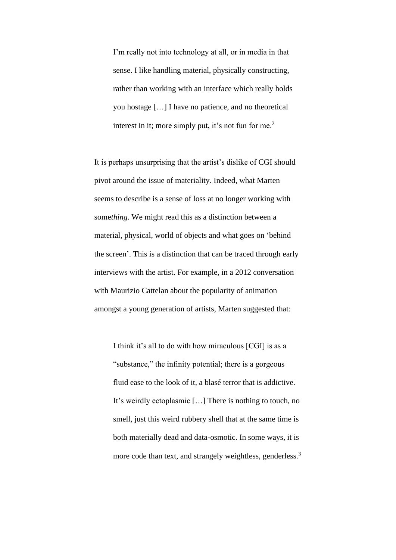I'm really not into technology at all, or in media in that sense. I like handling material, physically constructing, rather than working with an interface which really holds you hostage […] I have no patience, and no theoretical interest in it; more simply put, it's not fun for me. $<sup>2</sup>$ </sup>

It is perhaps unsurprising that the artist's dislike of CGI should pivot around the issue of materiality. Indeed, what Marten seems to describe is a sense of loss at no longer working with some*thing*. We might read this as a distinction between a material, physical, world of objects and what goes on 'behind the screen'. This is a distinction that can be traced through early interviews with the artist. For example, in a 2012 conversation with Maurizio Cattelan about the popularity of animation amongst a young generation of artists, Marten suggested that:

I think it's all to do with how miraculous [CGI] is as a "substance," the infinity potential; there is a gorgeous fluid ease to the look of it, a blasé terror that is addictive. It's weirdly ectoplasmic […] There is nothing to touch, no smell, just this weird rubbery shell that at the same time is both materially dead and data-osmotic. In some ways, it is more code than text, and strangely weightless, genderless.<sup>3</sup>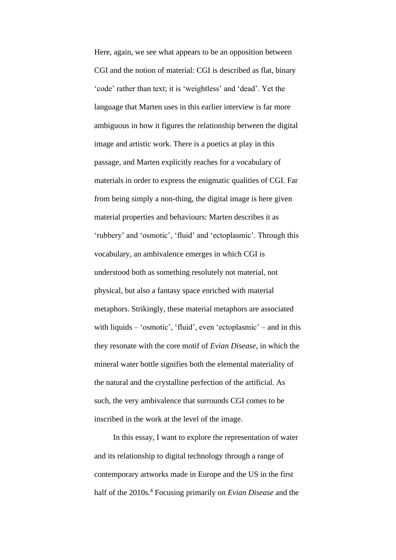Here, again, we see what appears to be an opposition between CGI and the notion of material: CGI is described as flat, binary 'code' rather than text; it is 'weightless' and 'dead'. Yet the language that Marten uses in this earlier interview is far more ambiguous in how it figures the relationship between the digital image and artistic work. There is a poetics at play in this passage, and Marten explicitly reaches for a vocabulary of materials in order to express the enigmatic qualities of CGI. Far from being simply a non-thing, the digital image is here given material properties and behaviours: Marten describes it as 'rubbery' and 'osmotic', 'fluid' and 'ectoplasmic'. Through this vocabulary, an ambivalence emerges in which CGI is understood both as something resolutely not material, not physical, but also a fantasy space enriched with material metaphors. Strikingly, these material metaphors are associated with liquids – 'osmotic', 'fluid', even 'ectoplasmic' – and in this they resonate with the core motif of *Evian Disease*, in which the mineral water bottle signifies both the elemental materiality of the natural and the crystalline perfection of the artificial. As such, the very ambivalence that surrounds CGI comes to be inscribed in the work at the level of the image.

In this essay, I want to explore the representation of water and its relationship to digital technology through a range of contemporary artworks made in Europe and the US in the first half of the 2010s.<sup>4</sup> Focusing primarily on *Evian Disease* and the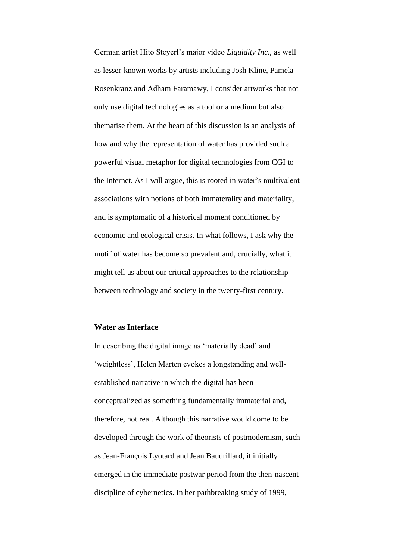German artist Hito Steyerl's major video *Liquidity Inc.*, as well as lesser-known works by artists including Josh Kline, Pamela Rosenkranz and Adham Faramawy, I consider artworks that not only use digital technologies as a tool or a medium but also thematise them. At the heart of this discussion is an analysis of how and why the representation of water has provided such a powerful visual metaphor for digital technologies from CGI to the Internet. As I will argue, this is rooted in water's multivalent associations with notions of both immaterality and materiality, and is symptomatic of a historical moment conditioned by economic and ecological crisis. In what follows, I ask why the motif of water has become so prevalent and, crucially, what it might tell us about our critical approaches to the relationship between technology and society in the twenty-first century.

### **Water as Interface**

In describing the digital image as 'materially dead' and 'weightless', Helen Marten evokes a longstanding and wellestablished narrative in which the digital has been conceptualized as something fundamentally immaterial and, therefore, not real. Although this narrative would come to be developed through the work of theorists of postmodernism, such as Jean-François Lyotard and Jean Baudrillard, it initially emerged in the immediate postwar period from the then-nascent discipline of cybernetics. In her pathbreaking study of 1999,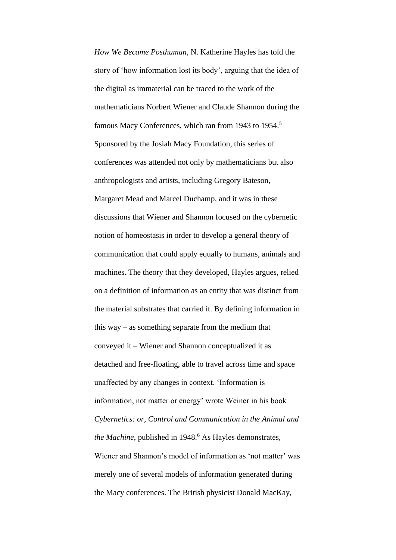*How We Became Posthuman*, N. Katherine Hayles has told the story of 'how information lost its body', arguing that the idea of the digital as immaterial can be traced to the work of the mathematicians Norbert Wiener and Claude Shannon during the famous Macy Conferences, which ran from 1943 to 1954.<sup>5</sup> Sponsored by the Josiah Macy Foundation, this series of conferences was attended not only by mathematicians but also anthropologists and artists, including Gregory Bateson, Margaret Mead and Marcel Duchamp, and it was in these discussions that Wiener and Shannon focused on the cybernetic notion of homeostasis in order to develop a general theory of communication that could apply equally to humans, animals and machines. The theory that they developed, Hayles argues, relied on a definition of information as an entity that was distinct from the material substrates that carried it. By defining information in this way – as something separate from the medium that conveyed it – Wiener and Shannon conceptualized it as detached and free-floating, able to travel across time and space unaffected by any changes in context. 'Information is information, not matter or energy' wrote Weiner in his book *Cybernetics: or, Control and Communication in the Animal and the Machine*, published in 1948.<sup>6</sup> As Hayles demonstrates, Wiener and Shannon's model of information as 'not matter' was merely one of several models of information generated during the Macy conferences. The British physicist Donald MacKay,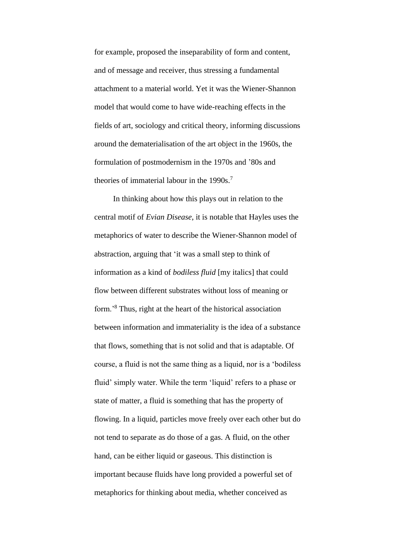for example, proposed the inseparability of form and content, and of message and receiver, thus stressing a fundamental attachment to a material world. Yet it was the Wiener-Shannon model that would come to have wide-reaching effects in the fields of art, sociology and critical theory, informing discussions around the dematerialisation of the art object in the 1960s, the formulation of postmodernism in the 1970s and '80s and theories of immaterial labour in the 1990s.<sup>7</sup>

In thinking about how this plays out in relation to the central motif of *Evian Disease*, it is notable that Hayles uses the metaphorics of water to describe the Wiener-Shannon model of abstraction, arguing that 'it was a small step to think of information as a kind of *bodiless fluid* [my italics] that could flow between different substrates without loss of meaning or form.'<sup>8</sup> Thus, right at the heart of the historical association between information and immateriality is the idea of a substance that flows, something that is not solid and that is adaptable. Of course, a fluid is not the same thing as a liquid, nor is a 'bodiless fluid' simply water. While the term 'liquid' refers to a phase or state of matter, a fluid is something that has the property of flowing. In a liquid, particles move freely over each other but do not tend to separate as do those of a gas. A fluid, on the other hand, can be either liquid or gaseous. This distinction is important because fluids have long provided a powerful set of metaphorics for thinking about media, whether conceived as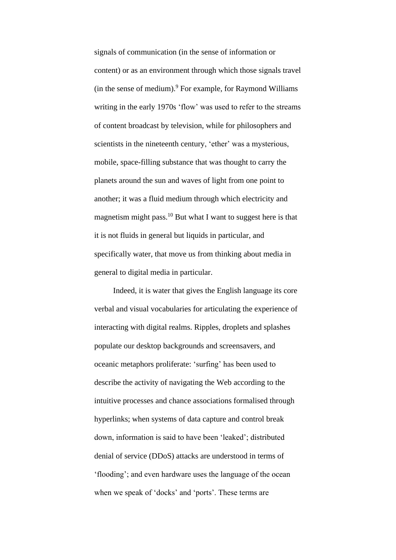signals of communication (in the sense of information or content) or as an environment through which those signals travel (in the sense of medium). $9$  For example, for Raymond Williams writing in the early 1970s 'flow' was used to refer to the streams of content broadcast by television, while for philosophers and scientists in the nineteenth century, 'ether' was a mysterious, mobile, space-filling substance that was thought to carry the planets around the sun and waves of light from one point to another; it was a fluid medium through which electricity and magnetism might pass.<sup>10</sup> But what I want to suggest here is that it is not fluids in general but liquids in particular, and specifically water, that move us from thinking about media in general to digital media in particular.

Indeed, it is water that gives the English language its core verbal and visual vocabularies for articulating the experience of interacting with digital realms. Ripples, droplets and splashes populate our desktop backgrounds and screensavers, and oceanic metaphors proliferate: 'surfing' has been used to describe the activity of navigating the Web according to the intuitive processes and chance associations formalised through hyperlinks; when systems of data capture and control break down, information is said to have been 'leaked'; distributed denial of service (DDoS) attacks are understood in terms of 'flooding'; and even hardware uses the language of the ocean when we speak of 'docks' and 'ports'. These terms are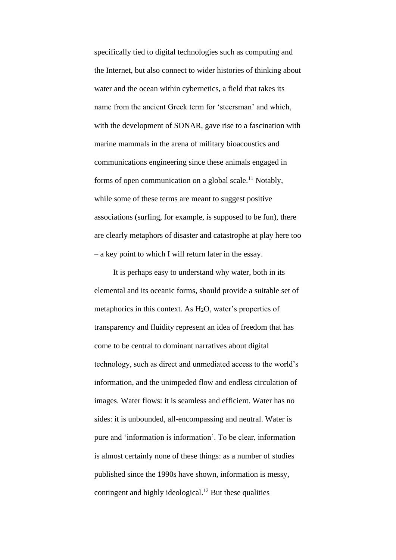specifically tied to digital technologies such as computing and the Internet, but also connect to wider histories of thinking about water and the ocean within cybernetics, a field that takes its name from the ancient Greek term for 'steersman' and which, with the development of SONAR, gave rise to a fascination with marine mammals in the arena of military bioacoustics and communications engineering since these animals engaged in forms of open communication on a global scale.<sup>11</sup> Notably, while some of these terms are meant to suggest positive associations (surfing, for example, is supposed to be fun), there are clearly metaphors of disaster and catastrophe at play here too – a key point to which I will return later in the essay.

It is perhaps easy to understand why water, both in its elemental and its oceanic forms, should provide a suitable set of metaphorics in this context. As H2O, water's properties of transparency and fluidity represent an idea of freedom that has come to be central to dominant narratives about digital technology, such as direct and unmediated access to the world's information, and the unimpeded flow and endless circulation of images. Water flows: it is seamless and efficient. Water has no sides: it is unbounded, all-encompassing and neutral. Water is pure and 'information is information'. To be clear, information is almost certainly none of these things: as a number of studies published since the 1990s have shown, information is messy, contingent and highly ideological.<sup>12</sup> But these qualities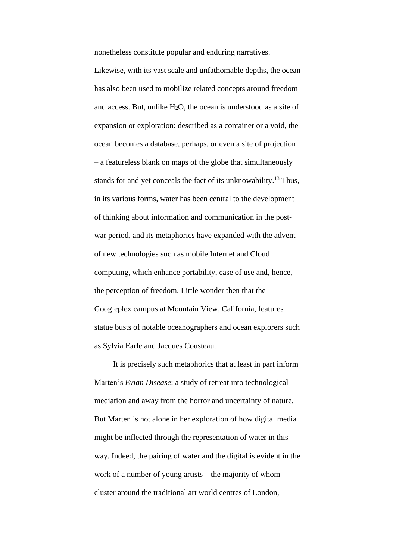nonetheless constitute popular and enduring narratives.

Likewise, with its vast scale and unfathomable depths, the ocean has also been used to mobilize related concepts around freedom and access. But, unlike H2O, the ocean is understood as a site of expansion or exploration: described as a container or a void, the ocean becomes a database, perhaps, or even a site of projection – a featureless blank on maps of the globe that simultaneously stands for and yet conceals the fact of its unknowability.<sup>13</sup> Thus, in its various forms, water has been central to the development of thinking about information and communication in the postwar period, and its metaphorics have expanded with the advent of new technologies such as mobile Internet and Cloud computing, which enhance portability, ease of use and, hence, the perception of freedom. Little wonder then that the Googleplex campus at Mountain View, California, features statue busts of notable oceanographers and ocean explorers such as Sylvia Earle and Jacques Cousteau.

It is precisely such metaphorics that at least in part inform Marten's *Evian Disease*: a study of retreat into technological mediation and away from the horror and uncertainty of nature. But Marten is not alone in her exploration of how digital media might be inflected through the representation of water in this way. Indeed, the pairing of water and the digital is evident in the work of a number of young artists – the majority of whom cluster around the traditional art world centres of London,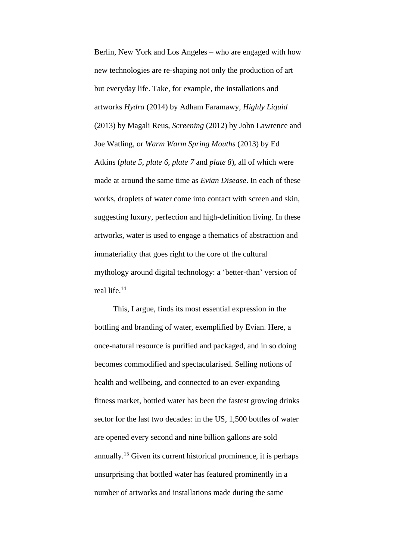Berlin, New York and Los Angeles – who are engaged with how new technologies are re-shaping not only the production of art but everyday life. Take, for example, the installations and artworks *Hydra* (2014) by Adham Faramawy, *Highly Liquid* (2013) by Magali Reus, *Screening* (2012) by John Lawrence and Joe Watling, or *Warm Warm Spring Mouths* (2013) by Ed Atkins (*plate 5*, *plate 6*, *plate 7* and *plate 8*), all of which were made at around the same time as *Evian Disease*. In each of these works, droplets of water come into contact with screen and skin, suggesting luxury, perfection and high-definition living. In these artworks, water is used to engage a thematics of abstraction and immateriality that goes right to the core of the cultural mythology around digital technology: a 'better-than' version of real life.<sup>14</sup>

This, I argue, finds its most essential expression in the bottling and branding of water, exemplified by Evian. Here, a once-natural resource is purified and packaged, and in so doing becomes commodified and spectacularised. Selling notions of health and wellbeing, and connected to an ever-expanding fitness market, bottled water has been the fastest growing drinks sector for the last two decades: in the US, 1,500 bottles of water are opened every second and nine billion gallons are sold annually.<sup>15</sup> Given its current historical prominence, it is perhaps unsurprising that bottled water has featured prominently in a number of artworks and installations made during the same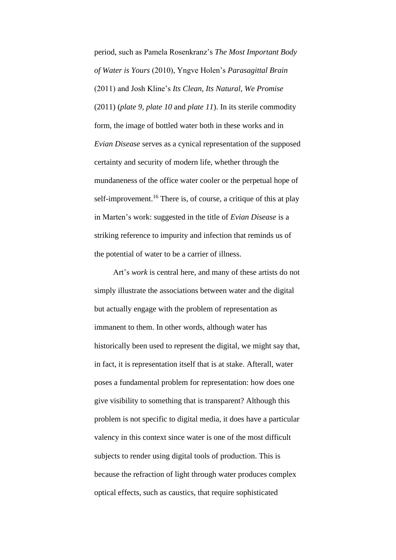period, such as Pamela Rosenkranz's *The Most Important Body of Water is Yours* (2010), Yngve Holen's *Parasagittal Brain* (2011) and Josh Kline's *Its Clean, Its Natural, We Promise* (2011) (*plate 9*, *plate 10* and *plate 11*). In its sterile commodity form, the image of bottled water both in these works and in *Evian Disease* serves as a cynical representation of the supposed certainty and security of modern life, whether through the mundaneness of the office water cooler or the perpetual hope of self-improvement.<sup>16</sup> There is, of course, a critique of this at play in Marten's work: suggested in the title of *Evian Disease* is a striking reference to impurity and infection that reminds us of the potential of water to be a carrier of illness.

Art's *work* is central here, and many of these artists do not simply illustrate the associations between water and the digital but actually engage with the problem of representation as immanent to them. In other words, although water has historically been used to represent the digital, we might say that, in fact, it is representation itself that is at stake. Afterall, water poses a fundamental problem for representation: how does one give visibility to something that is transparent? Although this problem is not specific to digital media, it does have a particular valency in this context since water is one of the most difficult subjects to render using digital tools of production. This is because the refraction of light through water produces complex optical effects, such as caustics, that require sophisticated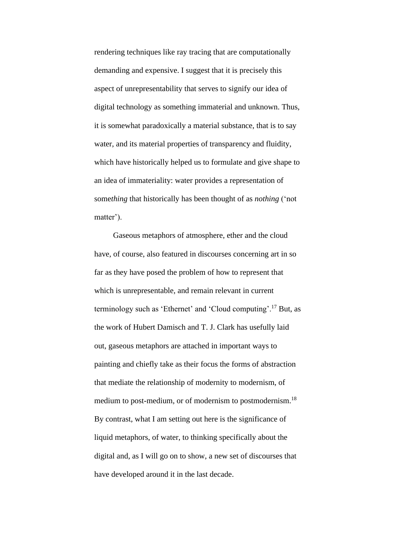rendering techniques like ray tracing that are computationally demanding and expensive. I suggest that it is precisely this aspect of unrepresentability that serves to signify our idea of digital technology as something immaterial and unknown. Thus, it is somewhat paradoxically a material substance, that is to say water, and its material properties of transparency and fluidity, which have historically helped us to formulate and give shape to an idea of immateriality: water provides a representation of some*thing* that historically has been thought of as *nothing* ('not matter').

Gaseous metaphors of atmosphere, ether and the cloud have, of course, also featured in discourses concerning art in so far as they have posed the problem of how to represent that which is unrepresentable, and remain relevant in current terminology such as 'Ethernet' and 'Cloud computing'.<sup>17</sup> But, as the work of Hubert Damisch and T. J. Clark has usefully laid out, gaseous metaphors are attached in important ways to painting and chiefly take as their focus the forms of abstraction that mediate the relationship of modernity to modernism, of medium to post-medium, or of modernism to postmodernism.<sup>18</sup> By contrast, what I am setting out here is the significance of liquid metaphors, of water, to thinking specifically about the digital and, as I will go on to show, a new set of discourses that have developed around it in the last decade.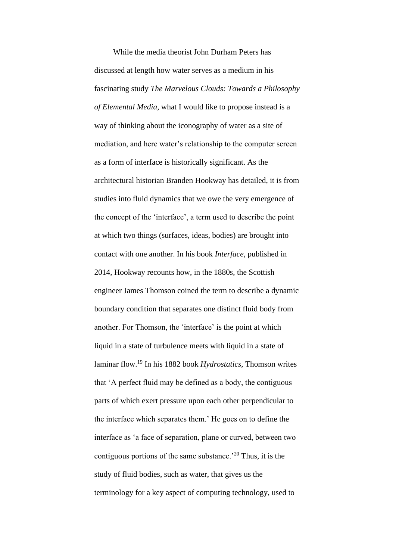While the media theorist John Durham Peters has discussed at length how water serves as a medium in his fascinating study *The Marvelous Clouds: Towards a Philosophy of Elemental Media*, what I would like to propose instead is a way of thinking about the iconography of water as a site of mediation, and here water's relationship to the computer screen as a form of interface is historically significant. As the architectural historian Branden Hookway has detailed, it is from studies into fluid dynamics that we owe the very emergence of the concept of the 'interface', a term used to describe the point at which two things (surfaces, ideas, bodies) are brought into contact with one another. In his book *Interface*, published in 2014, Hookway recounts how, in the 1880s, the Scottish engineer James Thomson coined the term to describe a dynamic boundary condition that separates one distinct fluid body from another. For Thomson, the 'interface' is the point at which liquid in a state of turbulence meets with liquid in a state of laminar flow.<sup>19</sup> In his 1882 book *Hydrostatics*, Thomson writes that 'A perfect fluid may be defined as a body, the contiguous parts of which exert pressure upon each other perpendicular to the interface which separates them.' He goes on to define the interface as 'a face of separation, plane or curved, between two contiguous portions of the same substance.<sup> $20$ </sup> Thus, it is the study of fluid bodies, such as water, that gives us the terminology for a key aspect of computing technology, used to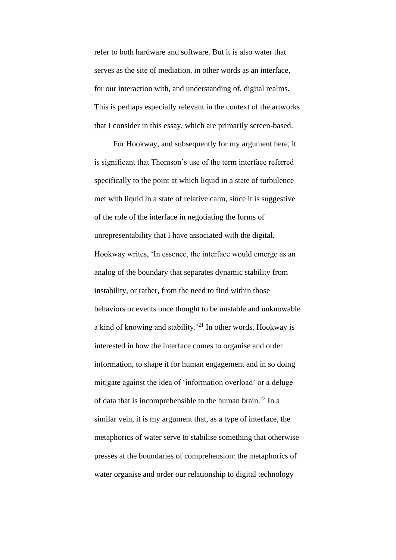refer to both hardware and software. But it is also water that serves as the site of mediation, in other words as an interface, for our interaction with, and understanding of, digital realms. This is perhaps especially relevant in the context of the artworks that I consider in this essay, which are primarily screen-based.

For Hookway, and subsequently for my argument here, it is significant that Thomson's use of the term interface referred specifically to the point at which liquid in a state of turbulence met with liquid in a state of relative calm, since it is suggestive of the role of the interface in negotiating the forms of unrepresentability that I have associated with the digital. Hookway writes, 'In essence, the interface would emerge as an analog of the boundary that separates dynamic stability from instability, or rather, from the need to find within those behaviors or events once thought to be unstable and unknowable a kind of knowing and stability.'<sup>21</sup> In other words, Hookway is interested in how the interface comes to organise and order information, to shape it for human engagement and in so doing mitigate against the idea of 'information overload' or a deluge of data that is incomprehensible to the human brain.<sup>22</sup> In a similar vein, it is my argument that, as a type of interface, the metaphorics of water serve to stabilise something that otherwise presses at the boundaries of comprehension: the metaphorics of water organise and order our relationship to digital technology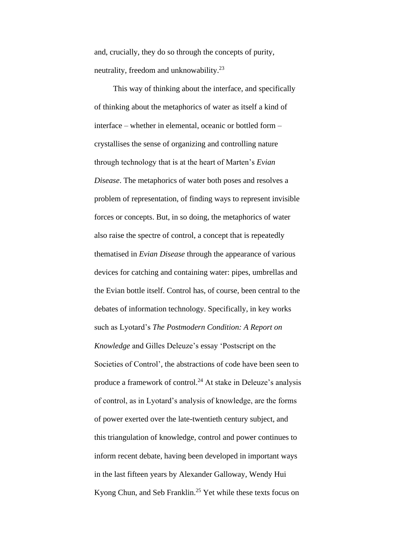and, crucially, they do so through the concepts of purity, neutrality, freedom and unknowability.<sup>23</sup>

This way of thinking about the interface, and specifically of thinking about the metaphorics of water as itself a kind of interface – whether in elemental, oceanic or bottled form – crystallises the sense of organizing and controlling nature through technology that is at the heart of Marten's *Evian Disease*. The metaphorics of water both poses and resolves a problem of representation, of finding ways to represent invisible forces or concepts. But, in so doing, the metaphorics of water also raise the spectre of control, a concept that is repeatedly thematised in *Evian Disease* through the appearance of various devices for catching and containing water: pipes, umbrellas and the Evian bottle itself. Control has, of course, been central to the debates of information technology. Specifically, in key works such as Lyotard's *The Postmodern Condition: A Report on Knowledge* and Gilles Deleuze's essay 'Postscript on the Societies of Control', the abstractions of code have been seen to produce a framework of control.<sup>24</sup> At stake in Deleuze's analysis of control, as in Lyotard's analysis of knowledge, are the forms of power exerted over the late-twentieth century subject, and this triangulation of knowledge, control and power continues to inform recent debate, having been developed in important ways in the last fifteen years by Alexander Galloway, Wendy Hui Kyong Chun, and Seb Franklin.<sup>25</sup> Yet while these texts focus on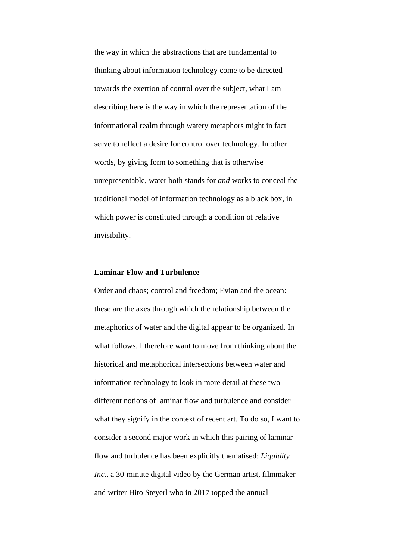the way in which the abstractions that are fundamental to thinking about information technology come to be directed towards the exertion of control over the subject, what I am describing here is the way in which the representation of the informational realm through watery metaphors might in fact serve to reflect a desire for control over technology. In other words, by giving form to something that is otherwise unrepresentable, water both stands for *and* works to conceal the traditional model of information technology as a black box, in which power is constituted through a condition of relative invisibility.

### **Laminar Flow and Turbulence**

Order and chaos; control and freedom; Evian and the ocean: these are the axes through which the relationship between the metaphorics of water and the digital appear to be organized. In what follows, I therefore want to move from thinking about the historical and metaphorical intersections between water and information technology to look in more detail at these two different notions of laminar flow and turbulence and consider what they signify in the context of recent art. To do so, I want to consider a second major work in which this pairing of laminar flow and turbulence has been explicitly thematised: *Liquidity Inc.*, a 30-minute digital video by the German artist, filmmaker and writer Hito Steyerl who in 2017 topped the annual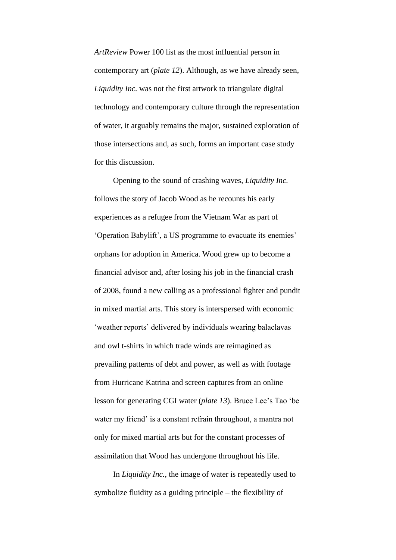*ArtReview* Power 100 list as the most influential person in contemporary art (*plate 12*). Although, as we have already seen, *Liquidity Inc.* was not the first artwork to triangulate digital technology and contemporary culture through the representation of water, it arguably remains the major, sustained exploration of those intersections and, as such, forms an important case study for this discussion.

Opening to the sound of crashing waves, *Liquidity Inc.* follows the story of Jacob Wood as he recounts his early experiences as a refugee from the Vietnam War as part of 'Operation Babylift', a US programme to evacuate its enemies' orphans for adoption in America. Wood grew up to become a financial advisor and, after losing his job in the financial crash of 2008, found a new calling as a professional fighter and pundit in mixed martial arts. This story is interspersed with economic 'weather reports' delivered by individuals wearing balaclavas and owl t-shirts in which trade winds are reimagined as prevailing patterns of debt and power, as well as with footage from Hurricane Katrina and screen captures from an online lesson for generating CGI water (*plate 13*). Bruce Lee's Tao 'be water my friend' is a constant refrain throughout, a mantra not only for mixed martial arts but for the constant processes of assimilation that Wood has undergone throughout his life.

In *Liquidity Inc.*, the image of water is repeatedly used to symbolize fluidity as a guiding principle – the flexibility of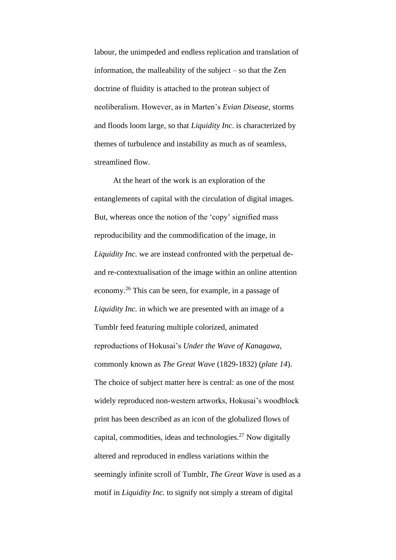labour, the unimpeded and endless replication and translation of information, the malleability of the subject – so that the Zen doctrine of fluidity is attached to the protean subject of neoliberalism. However, as in Marten's *Evian Disease*, storms and floods loom large, so that *Liquidity Inc*. is characterized by themes of turbulence and instability as much as of seamless, streamlined flow.

At the heart of the work is an exploration of the entanglements of capital with the circulation of digital images. But, whereas once the notion of the 'copy' signified mass reproducibility and the commodification of the image, in *Liquidity Inc.* we are instead confronted with the perpetual deand re-contextualisation of the image within an online attention economy.<sup>26</sup> This can be seen, for example, in a passage of *Liquidity Inc.* in which we are presented with an image of a Tumblr feed featuring multiple colorized, animated reproductions of Hokusai's *Under the Wave of Kanagawa*, commonly known as *The Great Wave* (1829-1832) (*plate 14*). The choice of subject matter here is central: as one of the most widely reproduced non-western artworks, Hokusai's woodblock print has been described as an icon of the globalized flows of capital, commodities, ideas and technologies. $27$  Now digitally altered and reproduced in endless variations within the seemingly infinite scroll of Tumblr, *The Great Wave* is used as a motif in *Liquidity Inc.* to signify not simply a stream of digital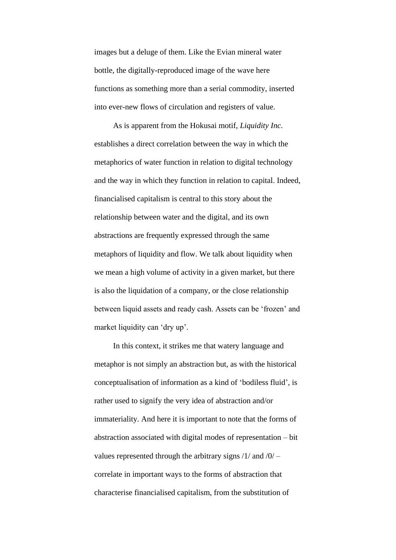images but a deluge of them. Like the Evian mineral water bottle, the digitally-reproduced image of the wave here functions as something more than a serial commodity, inserted into ever-new flows of circulation and registers of value.

As is apparent from the Hokusai motif, *Liquidity Inc.* establishes a direct correlation between the way in which the metaphorics of water function in relation to digital technology and the way in which they function in relation to capital. Indeed, financialised capitalism is central to this story about the relationship between water and the digital, and its own abstractions are frequently expressed through the same metaphors of liquidity and flow. We talk about liquidity when we mean a high volume of activity in a given market, but there is also the liquidation of a company, or the close relationship between liquid assets and ready cash. Assets can be 'frozen' and market liquidity can 'dry up'.

In this context, it strikes me that watery language and metaphor is not simply an abstraction but, as with the historical conceptualisation of information as a kind of 'bodiless fluid', is rather used to signify the very idea of abstraction and/or immateriality. And here it is important to note that the forms of abstraction associated with digital modes of representation – bit values represented through the arbitrary signs  $/1/$  and  $/0/$  – correlate in important ways to the forms of abstraction that characterise financialised capitalism, from the substitution of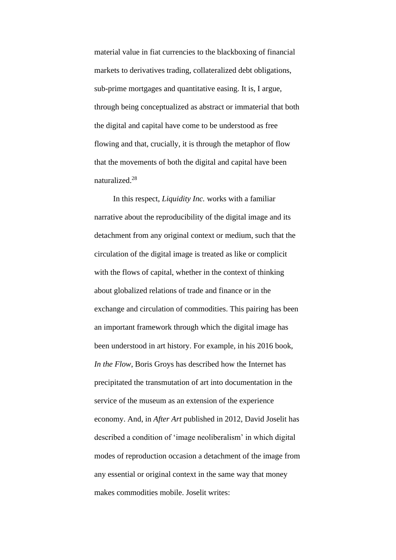material value in fiat currencies to the blackboxing of financial markets to derivatives trading, collateralized debt obligations, sub-prime mortgages and quantitative easing. It is, I argue, through being conceptualized as abstract or immaterial that both the digital and capital have come to be understood as free flowing and that, crucially, it is through the metaphor of flow that the movements of both the digital and capital have been naturalized.<sup>28</sup>

In this respect, *Liquidity Inc.* works with a familiar narrative about the reproducibility of the digital image and its detachment from any original context or medium, such that the circulation of the digital image is treated as like or complicit with the flows of capital, whether in the context of thinking about globalized relations of trade and finance or in the exchange and circulation of commodities. This pairing has been an important framework through which the digital image has been understood in art history. For example, in his 2016 book, *In the Flow*, Boris Groys has described how the Internet has precipitated the transmutation of art into documentation in the service of the museum as an extension of the experience economy. And, in *After Art* published in 2012, David Joselit has described a condition of 'image neoliberalism' in which digital modes of reproduction occasion a detachment of the image from any essential or original context in the same way that money makes commodities mobile. Joselit writes: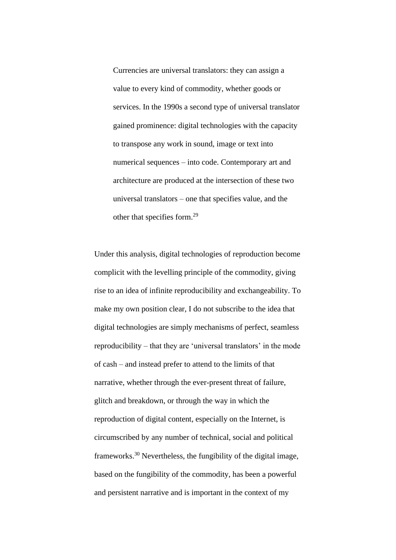Currencies are universal translators: they can assign a value to every kind of commodity, whether goods or services. In the 1990s a second type of universal translator gained prominence: digital technologies with the capacity to transpose any work in sound, image or text into numerical sequences – into code. Contemporary art and architecture are produced at the intersection of these two universal translators – one that specifies value, and the other that specifies form.<sup>29</sup>

Under this analysis, digital technologies of reproduction become complicit with the levelling principle of the commodity, giving rise to an idea of infinite reproducibility and exchangeability. To make my own position clear, I do not subscribe to the idea that digital technologies are simply mechanisms of perfect, seamless reproducibility – that they are 'universal translators' in the mode of cash – and instead prefer to attend to the limits of that narrative, whether through the ever-present threat of failure, glitch and breakdown, or through the way in which the reproduction of digital content, especially on the Internet, is circumscribed by any number of technical, social and political frameworks.<sup>30</sup> Nevertheless, the fungibility of the digital image, based on the fungibility of the commodity, has been a powerful and persistent narrative and is important in the context of my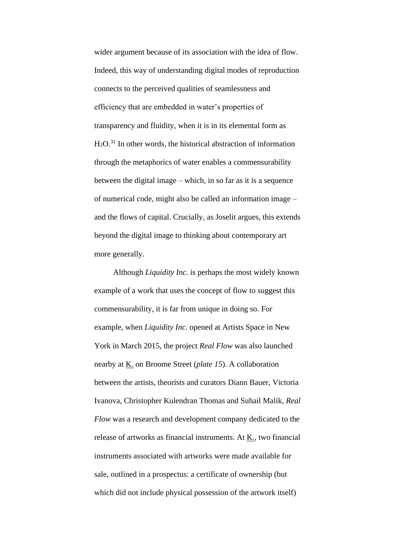wider argument because of its association with the idea of flow. Indeed, this way of understanding digital modes of reproduction connects to the perceived qualities of seamlessness and efficiency that are embedded in water's properties of transparency and fluidity, when it is in its elemental form as H2O.<sup>31</sup> In other words, the historical abstraction of information through the metaphorics of water enables a commensurability between the digital image – which, in so far as it is a sequence of numerical code, might also be called an information image – and the flows of capital. Crucially, as Joselit argues, this extends beyond the digital image to thinking about contemporary art more generally.

Although *Liquidity Inc.* is perhaps the most widely known example of a work that uses the concept of flow to suggest this commensurability, it is far from unique in doing so. For example, when *Liquidity Inc.* opened at Artists Space in New York in March 2015, the project *Real Flow* was also launched nearby at K. on Broome Street (*plate 15*). A collaboration between the artists, theorists and curators Diann Bauer, Victoria Ivanova, Christopher Kulendran Thomas and Suhail Malik, *Real Flow* was a research and development company dedicated to the release of artworks as financial instruments. At  $K<sub>1</sub>$ , two financial instruments associated with artworks were made available for sale, outlined in a prospectus: a certificate of ownership (but which did not include physical possession of the artwork itself)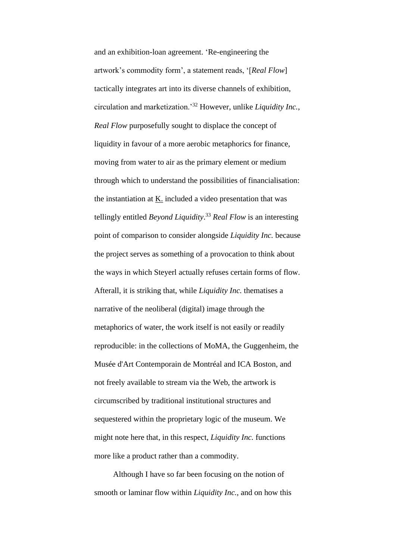and an exhibition-loan agreement. 'Re-engineering the artwork's commodity form', a statement reads, '[*Real Flow*] tactically integrates art into its diverse channels of exhibition, circulation and marketization.'<sup>32</sup> However, unlike *Liquidity Inc.*, *Real Flow* purposefully sought to displace the concept of liquidity in favour of a more aerobic metaphorics for finance, moving from water to air as the primary element or medium through which to understand the possibilities of financialisation: the instantiation at K. included a video presentation that was tellingly entitled *Beyond Liquidity*. <sup>33</sup> *Real Flow* is an interesting point of comparison to consider alongside *Liquidity Inc.* because the project serves as something of a provocation to think about the ways in which Steyerl actually refuses certain forms of flow. Afterall, it is striking that, while *Liquidity Inc.* thematises a narrative of the neoliberal (digital) image through the metaphorics of water, the work itself is not easily or readily reproducible: in the collections of MoMA, the Guggenheim, the Musée d'Art Contemporain de Montréal and ICA Boston, and not freely available to stream via the Web, the artwork is circumscribed by traditional institutional structures and sequestered within the proprietary logic of the museum. We might note here that, in this respect, *Liquidity Inc.* functions more like a product rather than a commodity.

Although I have so far been focusing on the notion of smooth or laminar flow within *Liquidity Inc.*, and on how this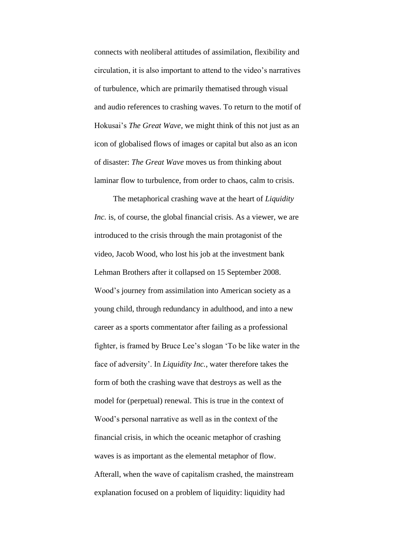connects with neoliberal attitudes of assimilation, flexibility and circulation, it is also important to attend to the video's narratives of turbulence, which are primarily thematised through visual and audio references to crashing waves. To return to the motif of Hokusai's *The Great Wave*, we might think of this not just as an icon of globalised flows of images or capital but also as an icon of disaster: *The Great Wave* moves us from thinking about laminar flow to turbulence, from order to chaos, calm to crisis.

The metaphorical crashing wave at the heart of *Liquidity Inc.* is, of course, the global financial crisis. As a viewer, we are introduced to the crisis through the main protagonist of the video, Jacob Wood, who lost his job at the investment bank Lehman Brothers after it collapsed on 15 September 2008. Wood's journey from assimilation into American society as a young child, through redundancy in adulthood, and into a new career as a sports commentator after failing as a professional fighter, is framed by Bruce Lee's slogan 'To be like water in the face of adversity'. In *Liquidity Inc.*, water therefore takes the form of both the crashing wave that destroys as well as the model for (perpetual) renewal. This is true in the context of Wood's personal narrative as well as in the context of the financial crisis, in which the oceanic metaphor of crashing waves is as important as the elemental metaphor of flow. Afterall, when the wave of capitalism crashed, the mainstream explanation focused on a problem of liquidity: liquidity had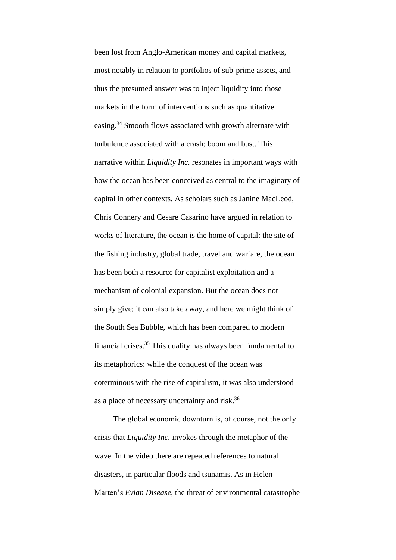been lost from Anglo-American money and capital markets, most notably in relation to portfolios of sub-prime assets, and thus the presumed answer was to inject liquidity into those markets in the form of interventions such as quantitative easing.<sup>34</sup> Smooth flows associated with growth alternate with turbulence associated with a crash; boom and bust. This narrative within *Liquidity Inc.* resonates in important ways with how the ocean has been conceived as central to the imaginary of capital in other contexts. As scholars such as Janine MacLeod, Chris Connery and Cesare Casarino have argued in relation to works of literature, the ocean is the home of capital: the site of the fishing industry, global trade, travel and warfare, the ocean has been both a resource for capitalist exploitation and a mechanism of colonial expansion. But the ocean does not simply give; it can also take away, and here we might think of the South Sea Bubble, which has been compared to modern financial crises.<sup>35</sup> This duality has always been fundamental to its metaphorics: while the conquest of the ocean was coterminous with the rise of capitalism, it was also understood as a place of necessary uncertainty and risk.<sup>36</sup>

The global economic downturn is, of course, not the only crisis that *Liquidity Inc.* invokes through the metaphor of the wave. In the video there are repeated references to natural disasters, in particular floods and tsunamis. As in Helen Marten's *Evian Disease*, the threat of environmental catastrophe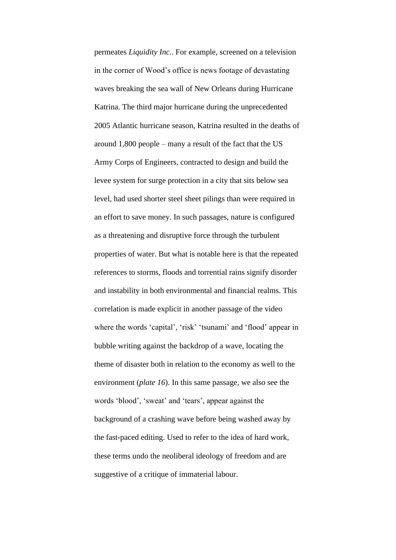permeates *Liquidity Inc.*. For example, screened on a television in the corner of Wood's office is news footage of devastating waves breaking the sea wall of New Orleans during Hurricane Katrina. The third major hurricane during the unprecedented 2005 Atlantic hurricane season, Katrina resulted in the deaths of around 1,800 people – many a result of the fact that the US Army Corps of Engineers, contracted to design and build the levee system for surge protection in a city that sits below sea level, had used shorter steel sheet pilings than were required in an effort to save money. In such passages, nature is configured as a threatening and disruptive force through the turbulent properties of water. But what is notable here is that the repeated references to storms, floods and torrential rains signify disorder and instability in both environmental and financial realms. This correlation is made explicit in another passage of the video where the words 'capital', 'risk' 'tsunami' and 'flood' appear in bubble writing against the backdrop of a wave, locating the theme of disaster both in relation to the economy as well to the environment (*plate 16*). In this same passage, we also see the words 'blood', 'sweat' and 'tears', appear against the background of a crashing wave before being washed away by the fast-paced editing. Used to refer to the idea of hard work, these terms undo the neoliberal ideology of freedom and are suggestive of a critique of immaterial labour.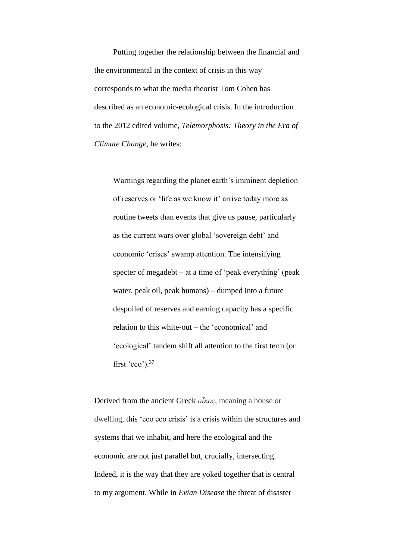Putting together the relationship between the financial and the environmental in the context of crisis in this way corresponds to what the media theorist Tom Cohen has described as an economic-ecological crisis. In the introduction to the 2012 edited volume, *Telemorphosis: Theory in the Era of Climate Change*, he writes:

Warnings regarding the planet earth's imminent depletion of reserves or 'life as we know it' arrive today more as routine tweets than events that give us pause, particularly as the current wars over global 'sovereign debt' and economic 'crises' swamp attention. The intensifying specter of megadebt – at a time of 'peak everything' (peak water, peak oil, peak humans) – dumped into a future despoiled of reserves and earning capacity has a specific relation to this white-out – the 'economical' and 'ecological' tandem shift all attention to the first term (or first 'eco'). $37$ 

Derived from the ancient Greek *οἶκος*, meaning a house or dwelling, this 'eco eco crisis' is a crisis within the structures and systems that we inhabit, and here the ecological and the economic are not just parallel but, crucially, intersecting. Indeed, it is the way that they are yoked together that is central to my argument. While in *Evian Disease* the threat of disaster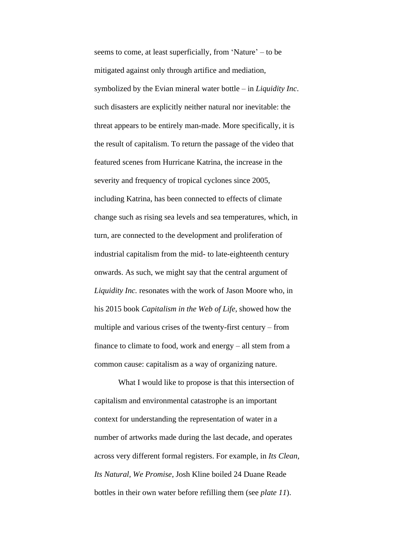seems to come, at least superficially, from 'Nature' – to be mitigated against only through artifice and mediation, symbolized by the Evian mineral water bottle – in *Liquidity Inc*. such disasters are explicitly neither natural nor inevitable: the threat appears to be entirely man-made. More specifically, it is the result of capitalism. To return the passage of the video that featured scenes from Hurricane Katrina, the increase in the severity and frequency of tropical cyclones since 2005, including Katrina, has been connected to effects of climate change such as rising sea levels and sea temperatures, which, in turn, are connected to the development and proliferation of industrial capitalism from the mid- to late-eighteenth century onwards. As such, we might say that the central argument of *Liquidity Inc.* resonates with the work of Jason Moore who, in his 2015 book *Capitalism in the Web of Life*, showed how the multiple and various crises of the twenty-first century – from finance to climate to food, work and energy – all stem from a common cause: capitalism as a way of organizing nature.

What I would like to propose is that this intersection of capitalism and environmental catastrophe is an important context for understanding the representation of water in a number of artworks made during the last decade, and operates across very different formal registers. For example, in *Its Clean, Its Natural, We Promise*, Josh Kline boiled 24 Duane Reade bottles in their own water before refilling them (see *plate 11*).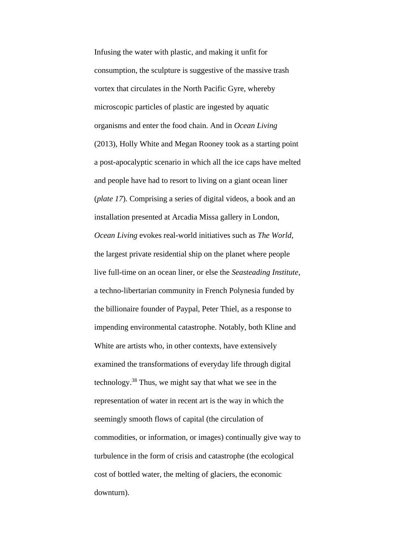Infusing the water with plastic, and making it unfit for consumption, the sculpture is suggestive of the massive trash vortex that circulates in the North Pacific Gyre, whereby microscopic particles of plastic are ingested by aquatic organisms and enter the food chain. And in *Ocean Living*  (2013), Holly White and Megan Rooney took as a starting point a post-apocalyptic scenario in which all the ice caps have melted and people have had to resort to living on a giant ocean liner (*plate 17*). Comprising a series of digital videos, a book and an installation presented at Arcadia Missa gallery in London, *Ocean Living* evokes real-world initiatives such as *The World*, the largest private residential ship on the planet where people live full-time on an ocean liner, or else the *Seasteading Institute*, a techno-libertarian community in French Polynesia funded by the billionaire founder of Paypal, Peter Thiel, as a response to impending environmental catastrophe. Notably, both Kline and White are artists who, in other contexts, have extensively examined the transformations of everyday life through digital technology. <sup>38</sup> Thus, we might say that what we see in the representation of water in recent art is the way in which the seemingly smooth flows of capital (the circulation of commodities, or information, or images) continually give way to turbulence in the form of crisis and catastrophe (the ecological cost of bottled water, the melting of glaciers, the economic downturn).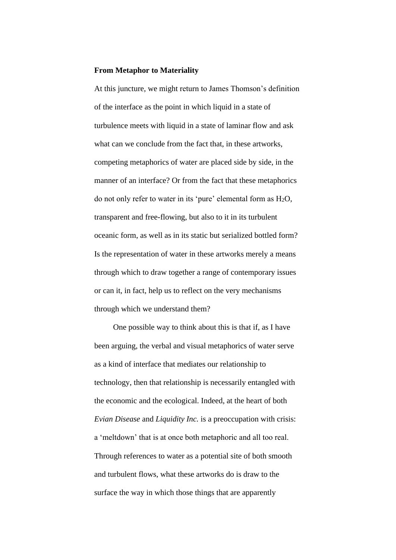#### **From Metaphor to Materiality**

At this juncture, we might return to James Thomson's definition of the interface as the point in which liquid in a state of turbulence meets with liquid in a state of laminar flow and ask what can we conclude from the fact that, in these artworks. competing metaphorics of water are placed side by side, in the manner of an interface? Or from the fact that these metaphorics do not only refer to water in its 'pure' elemental form as H2O, transparent and free-flowing, but also to it in its turbulent oceanic form, as well as in its static but serialized bottled form? Is the representation of water in these artworks merely a means through which to draw together a range of contemporary issues or can it, in fact, help us to reflect on the very mechanisms through which we understand them?

One possible way to think about this is that if, as I have been arguing, the verbal and visual metaphorics of water serve as a kind of interface that mediates our relationship to technology, then that relationship is necessarily entangled with the economic and the ecological. Indeed, at the heart of both *Evian Disease* and *Liquidity Inc.* is a preoccupation with crisis: a 'meltdown' that is at once both metaphoric and all too real. Through references to water as a potential site of both smooth and turbulent flows, what these artworks do is draw to the surface the way in which those things that are apparently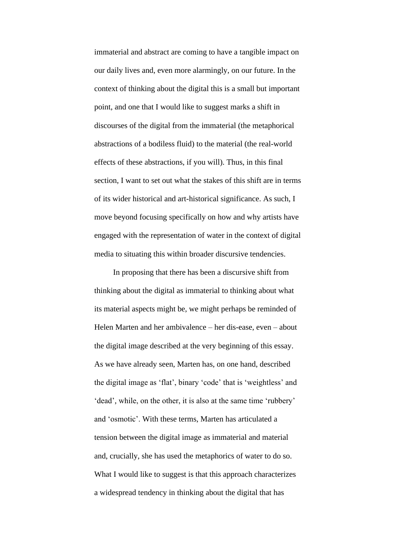immaterial and abstract are coming to have a tangible impact on our daily lives and, even more alarmingly, on our future. In the context of thinking about the digital this is a small but important point, and one that I would like to suggest marks a shift in discourses of the digital from the immaterial (the metaphorical abstractions of a bodiless fluid) to the material (the real-world effects of these abstractions, if you will). Thus, in this final section, I want to set out what the stakes of this shift are in terms of its wider historical and art-historical significance. As such, I move beyond focusing specifically on how and why artists have engaged with the representation of water in the context of digital media to situating this within broader discursive tendencies.

In proposing that there has been a discursive shift from thinking about the digital as immaterial to thinking about what its material aspects might be, we might perhaps be reminded of Helen Marten and her ambivalence – her dis-ease, even – about the digital image described at the very beginning of this essay. As we have already seen, Marten has, on one hand, described the digital image as 'flat', binary 'code' that is 'weightless' and 'dead', while, on the other, it is also at the same time 'rubbery' and 'osmotic'. With these terms, Marten has articulated a tension between the digital image as immaterial and material and, crucially, she has used the metaphorics of water to do so. What I would like to suggest is that this approach characterizes a widespread tendency in thinking about the digital that has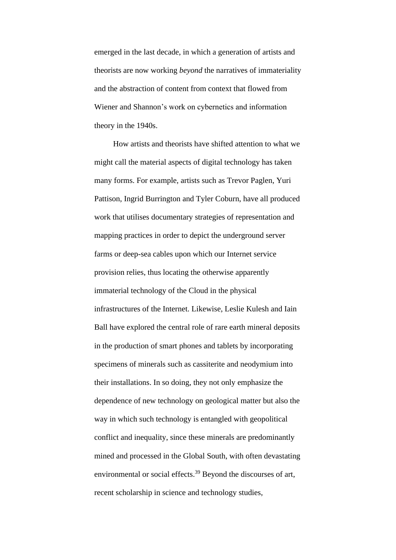emerged in the last decade, in which a generation of artists and theorists are now working *beyond* the narratives of immateriality and the abstraction of content from context that flowed from Wiener and Shannon's work on cybernetics and information theory in the 1940s.

How artists and theorists have shifted attention to what we might call the material aspects of digital technology has taken many forms. For example, artists such as Trevor Paglen, Yuri Pattison, Ingrid Burrington and Tyler Coburn, have all produced work that utilises documentary strategies of representation and mapping practices in order to depict the underground server farms or deep-sea cables upon which our Internet service provision relies, thus locating the otherwise apparently immaterial technology of the Cloud in the physical infrastructures of the Internet. Likewise, Leslie Kulesh and Iain Ball have explored the central role of rare earth mineral deposits in the production of smart phones and tablets by incorporating specimens of minerals such as cassiterite and neodymium into their installations. In so doing, they not only emphasize the dependence of new technology on geological matter but also the way in which such technology is entangled with geopolitical conflict and inequality, since these minerals are predominantly mined and processed in the Global South, with often devastating environmental or social effects.<sup>39</sup> Beyond the discourses of art, recent scholarship in science and technology studies,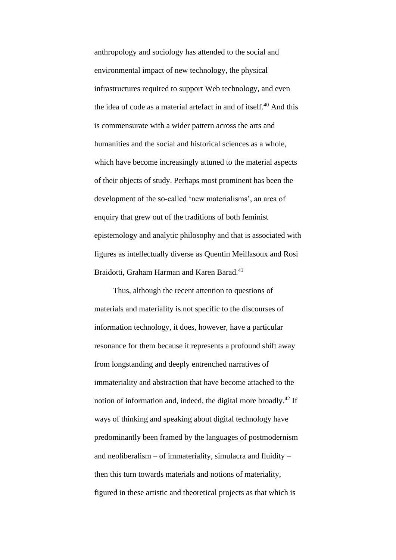anthropology and sociology has attended to the social and environmental impact of new technology, the physical infrastructures required to support Web technology, and even the idea of code as a material artefact in and of itself.<sup>40</sup> And this is commensurate with a wider pattern across the arts and humanities and the social and historical sciences as a whole, which have become increasingly attuned to the material aspects of their objects of study. Perhaps most prominent has been the development of the so-called 'new materialisms', an area of enquiry that grew out of the traditions of both feminist epistemology and analytic philosophy and that is associated with figures as intellectually diverse as Quentin Meillasoux and Rosi Braidotti, Graham Harman and Karen Barad.<sup>41</sup>

Thus, although the recent attention to questions of materials and materiality is not specific to the discourses of information technology, it does, however, have a particular resonance for them because it represents a profound shift away from longstanding and deeply entrenched narratives of immateriality and abstraction that have become attached to the notion of information and, indeed, the digital more broadly.<sup>42</sup> If ways of thinking and speaking about digital technology have predominantly been framed by the languages of postmodernism and neoliberalism – of immateriality, simulacra and fluidity – then this turn towards materials and notions of materiality, figured in these artistic and theoretical projects as that which is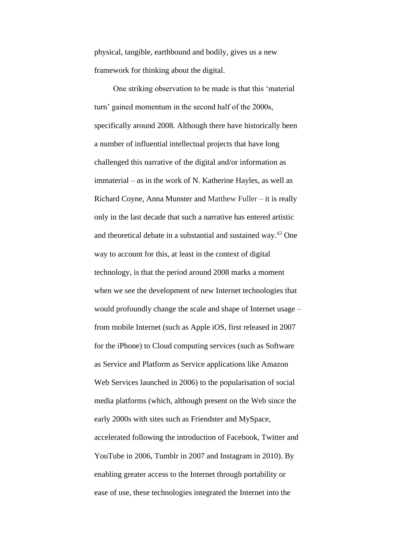physical, tangible, earthbound and bodily, gives us a new framework for thinking about the digital.

One striking observation to be made is that this 'material turn' gained momentum in the second half of the 2000s, specifically around 2008. Although there have historically been a number of influential intellectual projects that have long challenged this narrative of the digital and/or information as immaterial – as in the work of N. Katherine Hayles, as well as Richard Coyne, Anna Munster and Matthew Fuller – it is really only in the last decade that such a narrative has entered artistic and theoretical debate in a substantial and sustained way.<sup>43</sup> One way to account for this, at least in the context of digital technology, is that the period around 2008 marks a moment when we see the development of new Internet technologies that would profoundly change the scale and shape of Internet usage – from mobile Internet (such as Apple iOS, first released in 2007 for the iPhone) to Cloud computing services (such as Software as Service and Platform as Service applications like Amazon Web Services launched in 2006) to the popularisation of social media platforms (which, although present on the Web since the early 2000s with sites such as Friendster and MySpace, accelerated following the introduction of Facebook, Twitter and YouTube in 2006, Tumblr in 2007 and Instagram in 2010). By enabling greater access to the Internet through portability or ease of use, these technologies integrated the Internet into the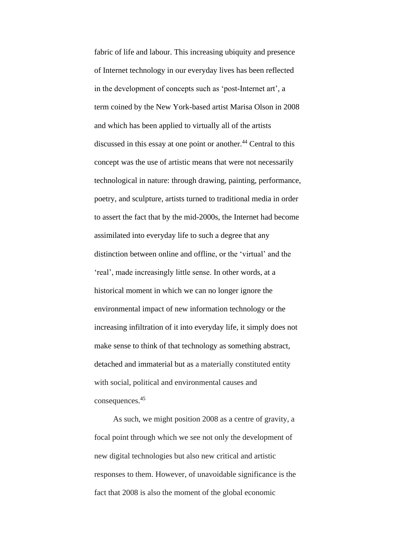fabric of life and labour. This increasing ubiquity and presence of Internet technology in our everyday lives has been reflected in the development of concepts such as 'post-Internet art', a term coined by the New York-based artist Marisa Olson in 2008 and which has been applied to virtually all of the artists discussed in this essay at one point or another.<sup>44</sup> Central to this concept was the use of artistic means that were not necessarily technological in nature: through drawing, painting, performance, poetry, and sculpture, artists turned to traditional media in order to assert the fact that by the mid-2000s, the Internet had become assimilated into everyday life to such a degree that any distinction between online and offline, or the 'virtual' and the 'real', made increasingly little sense. In other words, at a historical moment in which we can no longer ignore the environmental impact of new information technology or the increasing infiltration of it into everyday life, it simply does not make sense to think of that technology as something abstract, detached and immaterial but as a materially constituted entity with social, political and environmental causes and consequences. 45

As such, we might position 2008 as a centre of gravity, a focal point through which we see not only the development of new digital technologies but also new critical and artistic responses to them. However, of unavoidable significance is the fact that 2008 is also the moment of the global economic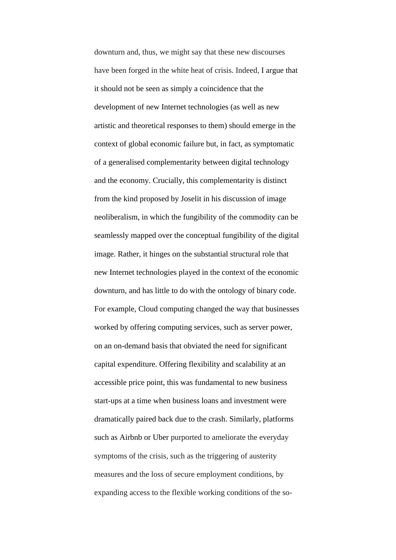downturn and, thus, we might say that these new discourses have been forged in the white heat of crisis. Indeed, I argue that it should not be seen as simply a coincidence that the development of new Internet technologies (as well as new artistic and theoretical responses to them) should emerge in the context of global economic failure but, in fact, as symptomatic of a generalised complementarity between digital technology and the economy. Crucially, this complementarity is distinct from the kind proposed by Joselit in his discussion of image neoliberalism, in which the fungibility of the commodity can be seamlessly mapped over the conceptual fungibility of the digital image. Rather, it hinges on the substantial structural role that new Internet technologies played in the context of the economic downturn, and has little to do with the ontology of binary code. For example, Cloud computing changed the way that businesses worked by offering computing services, such as server power, on an on-demand basis that obviated the need for significant capital expenditure. Offering flexibility and scalability at an accessible price point, this was fundamental to new business start-ups at a time when business loans and investment were dramatically paired back due to the crash. Similarly, platforms such as Airbnb or Uber purported to ameliorate the everyday symptoms of the crisis, such as the triggering of austerity measures and the loss of secure employment conditions, by expanding access to the flexible working conditions of the so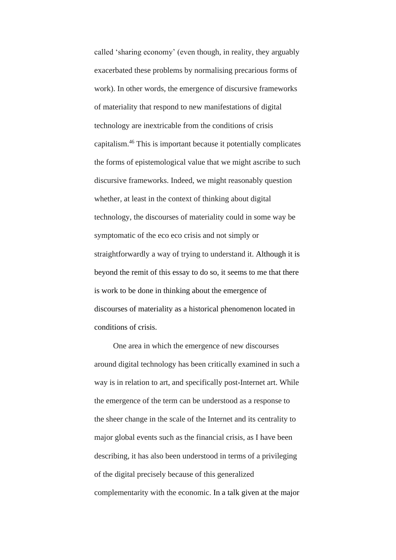called 'sharing economy' (even though, in reality, they arguably exacerbated these problems by normalising precarious forms of work). In other words, the emergence of discursive frameworks of materiality that respond to new manifestations of digital technology are inextricable from the conditions of crisis capitalism. <sup>46</sup> This is important because it potentially complicates the forms of epistemological value that we might ascribe to such discursive frameworks. Indeed, we might reasonably question whether, at least in the context of thinking about digital technology, the discourses of materiality could in some way be symptomatic of the eco eco crisis and not simply or straightforwardly a way of trying to understand it. Although it is beyond the remit of this essay to do so, it seems to me that there is work to be done in thinking about the emergence of discourses of materiality as a historical phenomenon located in conditions of crisis.

One area in which the emergence of new discourses around digital technology has been critically examined in such a way is in relation to art, and specifically post-Internet art. While the emergence of the term can be understood as a response to the sheer change in the scale of the Internet and its centrality to major global events such as the financial crisis, as I have been describing, it has also been understood in terms of a privileging of the digital precisely because of this generalized complementarity with the economic. In a talk given at the major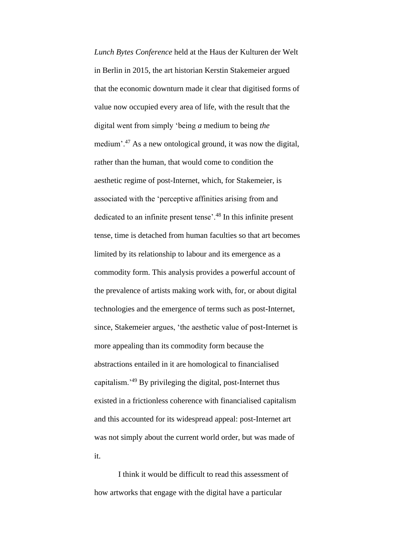*Lunch Bytes Conference* held at the Haus der Kulturen der Welt in Berlin in 2015, the art historian Kerstin Stakemeier argued that the economic downturn made it clear that digitised forms of value now occupied every area of life, with the result that the digital went from simply 'being *a* medium to being *the* medium'.<sup>47</sup> As a new ontological ground, it was now the digital, rather than the human, that would come to condition the aesthetic regime of post-Internet, which, for Stakemeier, is associated with the 'perceptive affinities arising from and dedicated to an infinite present tense'.<sup>48</sup> In this infinite present tense, time is detached from human faculties so that art becomes limited by its relationship to labour and its emergence as a commodity form. This analysis provides a powerful account of the prevalence of artists making work with, for, or about digital technologies and the emergence of terms such as post-Internet, since, Stakemeier argues, 'the aesthetic value of post-Internet is more appealing than its commodity form because the abstractions entailed in it are homological to financialised capitalism.'<sup>49</sup> By privileging the digital, post-Internet thus existed in a frictionless coherence with financialised capitalism and this accounted for its widespread appeal: post-Internet art was not simply about the current world order, but was made of it.

I think it would be difficult to read this assessment of how artworks that engage with the digital have a particular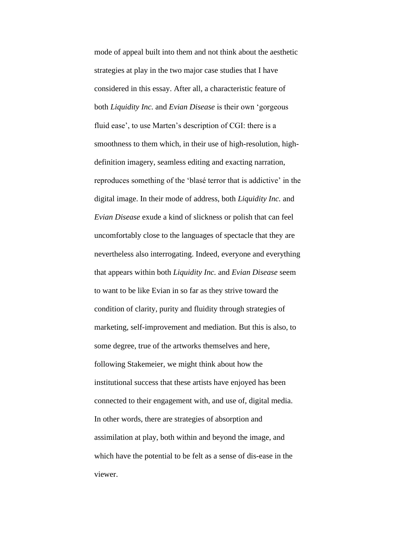mode of appeal built into them and not think about the aesthetic strategies at play in the two major case studies that I have considered in this essay. After all, a characteristic feature of both *Liquidity Inc.* and *Evian Disease* is their own 'gorgeous fluid ease', to use Marten's description of CGI: there is a smoothness to them which, in their use of high-resolution, highdefinition imagery, seamless editing and exacting narration, reproduces something of the 'blasé terror that is addictive' in the digital image. In their mode of address, both *Liquidity Inc.* and *Evian Disease* exude a kind of slickness or polish that can feel uncomfortably close to the languages of spectacle that they are nevertheless also interrogating. Indeed, everyone and everything that appears within both *Liquidity Inc.* and *Evian Disease* seem to want to be like Evian in so far as they strive toward the condition of clarity, purity and fluidity through strategies of marketing, self-improvement and mediation. But this is also, to some degree, true of the artworks themselves and here, following Stakemeier, we might think about how the institutional success that these artists have enjoyed has been connected to their engagement with, and use of, digital media. In other words, there are strategies of absorption and assimilation at play, both within and beyond the image, and which have the potential to be felt as a sense of dis-ease in the viewer.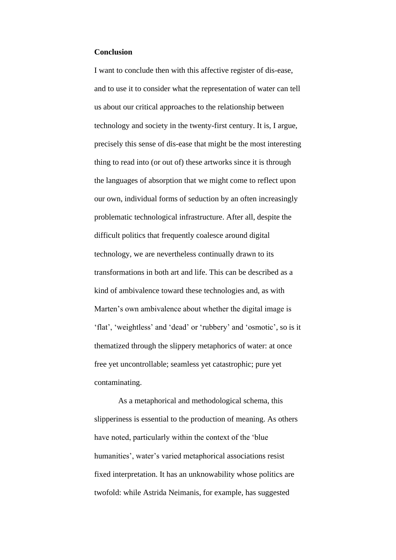#### **Conclusion**

I want to conclude then with this affective register of dis-ease, and to use it to consider what the representation of water can tell us about our critical approaches to the relationship between technology and society in the twenty-first century. It is, I argue, precisely this sense of dis-ease that might be the most interesting thing to read into (or out of) these artworks since it is through the languages of absorption that we might come to reflect upon our own, individual forms of seduction by an often increasingly problematic technological infrastructure. After all, despite the difficult politics that frequently coalesce around digital technology, we are nevertheless continually drawn to its transformations in both art and life. This can be described as a kind of ambivalence toward these technologies and, as with Marten's own ambivalence about whether the digital image is 'flat', 'weightless' and 'dead' or 'rubbery' and 'osmotic', so is it thematized through the slippery metaphorics of water: at once free yet uncontrollable; seamless yet catastrophic; pure yet contaminating.

As a metaphorical and methodological schema, this slipperiness is essential to the production of meaning. As others have noted, particularly within the context of the 'blue humanities', water's varied metaphorical associations resist fixed interpretation. It has an unknowability whose politics are twofold: while Astrida Neimanis, for example, has suggested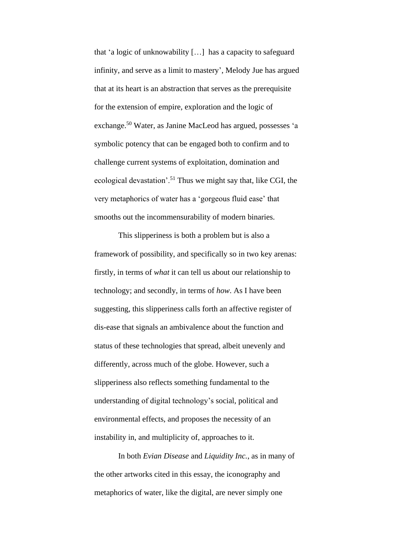that 'a logic of unknowability […] has a capacity to safeguard infinity, and serve as a limit to mastery', Melody Jue has argued that at its heart is an abstraction that serves as the prerequisite for the extension of empire, exploration and the logic of exchange. <sup>50</sup> Water, as Janine MacLeod has argued, possesses 'a symbolic potency that can be engaged both to confirm and to challenge current systems of exploitation, domination and ecological devastation'.<sup>51</sup> Thus we might say that, like CGI, the very metaphorics of water has a 'gorgeous fluid ease' that smooths out the incommensurability of modern binaries.

This slipperiness is both a problem but is also a framework of possibility, and specifically so in two key arenas: firstly, in terms of *what* it can tell us about our relationship to technology; and secondly, in terms of *how*. As I have been suggesting, this slipperiness calls forth an affective register of dis-ease that signals an ambivalence about the function and status of these technologies that spread, albeit unevenly and differently, across much of the globe. However, such a slipperiness also reflects something fundamental to the understanding of digital technology's social, political and environmental effects, and proposes the necessity of an instability in, and multiplicity of, approaches to it.

In both *Evian Disease* and *Liquidity Inc.*, as in many of the other artworks cited in this essay, the iconography and metaphorics of water, like the digital, are never simply one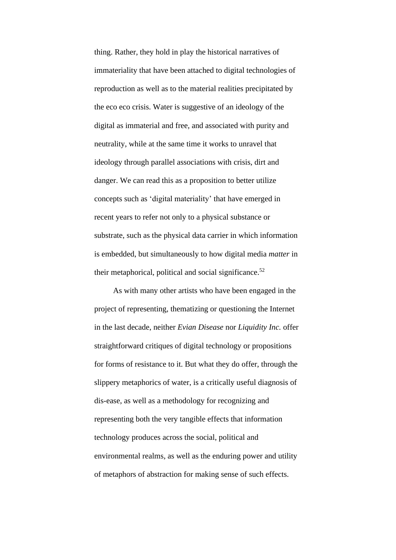thing. Rather, they hold in play the historical narratives of immateriality that have been attached to digital technologies of reproduction as well as to the material realities precipitated by the eco eco crisis. Water is suggestive of an ideology of the digital as immaterial and free, and associated with purity and neutrality, while at the same time it works to unravel that ideology through parallel associations with crisis, dirt and danger. We can read this as a proposition to better utilize concepts such as 'digital materiality' that have emerged in recent years to refer not only to a physical substance or substrate, such as the physical data carrier in which information is embedded, but simultaneously to how digital media *matter* in their metaphorical, political and social significance.<sup>52</sup>

As with many other artists who have been engaged in the project of representing, thematizing or questioning the Internet in the last decade, neither *Evian Disease* nor *Liquidity Inc.* offer straightforward critiques of digital technology or propositions for forms of resistance to it. But what they do offer, through the slippery metaphorics of water, is a critically useful diagnosis of dis-ease, as well as a methodology for recognizing and representing both the very tangible effects that information technology produces across the social, political and environmental realms, as well as the enduring power and utility of metaphors of abstraction for making sense of such effects.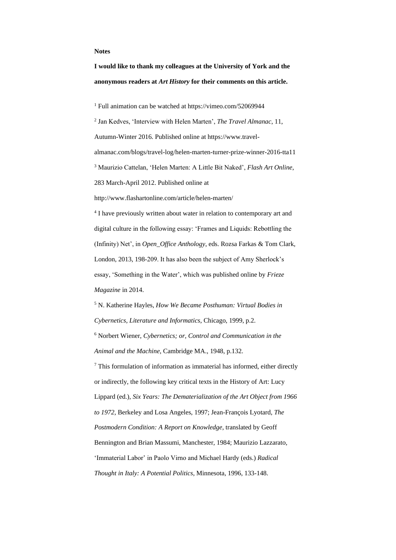#### **Notes**

**I would like to thank my colleagues at the University of York and the anonymous readers at** *Art History* **for their comments on this article.**

<sup>1</sup> Full animation can be watched at https://vimeo.com/52069944

2 Jan Kedves, 'Interview with Helen Marten', *The Travel Almanac*, 11, Autumn-Winter 2016. Published online at https://www.travelalmanac.com/blogs/travel-log/helen-marten-turner-prize-winner-2016-tta11 <sup>3</sup> Maurizio Cattelan, 'Helen Marten: A Little Bit Naked', *Flash Art Online*, 283 March-April 2012. Published online at

http://www.flashartonline.com/article/helen-marten/

<sup>4</sup> I have previously written about water in relation to contemporary art and digital culture in the following essay: 'Frames and Liquids: Rebottling the (Infinity) Net', in *Open\_Office Anthology*, eds. Rozsa Farkas & Tom Clark, London, 2013, 198-209. It has also been the subject of Amy Sherlock's essay, 'Something in the Water', which was published online by *Frieze Magazine* in 2014.

<sup>5</sup> N. Katherine Hayles, *How We Became Posthuman: Virtual Bodies in Cybernetics, Literature and Informatics*, Chicago, 1999, p.2. <sup>6</sup> Norbert Wiener, *Cybernetics; or, Control and Communication in the* 

*Animal and the Machine*, Cambridge MA., 1948, p.132.

<sup>7</sup> This formulation of information as immaterial has informed, either directly or indirectly, the following key critical texts in the History of Art: Lucy Lippard (ed.), *Six Years: The Dematerialization of the Art Object from 1966 to 1972*, Berkeley and Losa Angeles, 1997; Jean-François Lyotard, *The Postmodern Condition: A Report on Knowledge*, translated by Geoff Bennington and Brian Massumi, Manchester, 1984; Maurizio Lazzarato, 'Immaterial Labor' in Paolo Virno and Michael Hardy (eds.) *Radical Thought in Italy: A Potential Politics*, Minnesota, 1996, 133-148.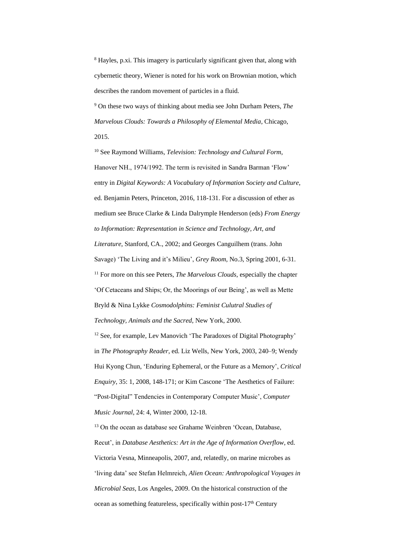<sup>8</sup> Hayles, p.xi. This imagery is particularly significant given that, along with cybernetic theory, Wiener is noted for his work on Brownian motion, which describes the random movement of particles in a fluid.

<sup>9</sup> On these two ways of thinking about media see John Durham Peters, *The Marvelous Clouds: Towards a Philosophy of Elemental Media*, Chicago, 2015.

<sup>10</sup> See Raymond Williams, *Television: Technology and Cultural Form*, Hanover NH., 1974/1992. The term is revisited in Sandra Barman 'Flow' entry in *Digital Keywords: A Vocabulary of Information Society and Culture*, ed. Benjamin Peters, Princeton, 2016, 118-131. For a discussion of ether as medium see Bruce Clarke & Linda Dalrymple Henderson (eds) *From Energy to Information: Representation in Science and Technology, Art, and Literature*, Stanford, CA., 2002; and Georges Canguilhem (trans. John Savage) 'The Living and it's Milieu', *Grey Room*, No.3, Spring 2001, 6-31. <sup>11</sup> For more on this see Peters, *The Marvelous Clouds*, especially the chapter 'Of Cetaceans and Ships; Or, the Moorings of our Being', as well as Mette Bryld & Nina Lykke *Cosmodolphins: Feminist Culutral Studies of Technology, Animals and the Sacred*, New York, 2000.

<sup>12</sup> See, for example, Lev Manovich 'The Paradoxes of Digital Photography' in *The Photography Reader*, ed. Liz Wells, New York, 2003, 240–9; Wendy Hui Kyong Chun, 'Enduring Ephemeral, or the Future as a Memory', *Critical Enquiry*, 35: 1, 2008, 148-171; or Kim Cascone 'The Aesthetics of Failure: "Post-Digital" Tendencies in Contemporary Computer Music', *Computer Music Journal*, 24: 4, Winter 2000, 12-18.

<sup>13</sup> On the ocean as database see Grahame Weinbren 'Ocean, Database, Recut', in *Database Aesthetics: Art in the Age of Information Overflow*, ed. Victoria Vesna, Minneapolis, 2007, and, relatedly, on marine microbes as 'living data' see Stefan Helmreich, *Alien Ocean: Anthropological Voyages in Microbial Seas*, Los Angeles, 2009. On the historical construction of the ocean as something featureless, specifically within post-17<sup>th</sup> Century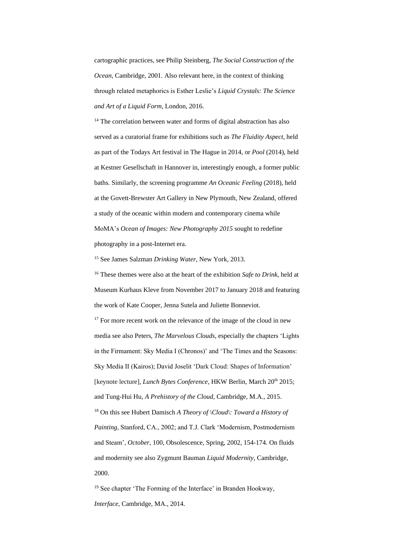cartographic practices, see Philip Steinberg, *The Social Construction of the Ocean*, Cambridge, 2001. Also relevant here, in the context of thinking through related metaphorics is Esther Leslie's *Liquid Crystals: The Science and Art of a Liquid Form*, London, 2016.

 $14$  The correlation between water and forms of digital abstraction has also served as a curatorial frame for exhibitions such as *The Fluidity Aspect*, held as part of the Todays Art festival in The Hague in 2014, or *Pool* (2014), held at Kestner Gesellschaft in Hannover in, interestingly enough, a former public baths. Similarly, the screening programme *An Oceanic Feeling* (2018), held at the Govett-Brewster Art Gallery in New Plymouth, New Zealand, offered a study of the oceanic within modern and contemporary cinema while MoMA's *Ocean of Images: New Photography 2015* sought to redefine photography in a post-Internet era.

<sup>15</sup> See James Salzman *Drinking Water*, New York, 2013.

<sup>16</sup> These themes were also at the heart of the exhibition *Safe to Drink*, held at Museum Kurhaus Kleve from November 2017 to January 2018 and featuring the work of Kate Cooper, Jenna Sutela and Juliette Bonneviot.

 $17$  For more recent work on the relevance of the image of the cloud in new media see also Peters, *The Marvelous Clouds*, especially the chapters 'Lights in the Firmament: Sky Media I (Chronos)' and 'The Times and the Seasons: Sky Media II (Kairos); David Joselit 'Dark Cloud: Shapes of Information' [keynote lecture], *Lunch Bytes Conference*, HKW Berlin, March 20<sup>th</sup> 2015; and Tung-Hui Hu, *A Prehistory of the Cloud,* Cambridge, M.A., 2015. <sup>18</sup> On this see Hubert Damisch *A Theory of \Cloud\: Toward a History of Painting*, Stanford, CA., 2002; and T.J. Clark 'Modernism, Postmodernism and Steam', *October*, 100, Obsolescence, Spring, 2002, 154-174. On fluids and modernity see also Zygmunt Bauman *Liquid Modernity*, Cambridge, 2000.

<sup>19</sup> See chapter 'The Forming of the Interface' in Branden Hookway, *Interface*, Cambridge, MA., 2014.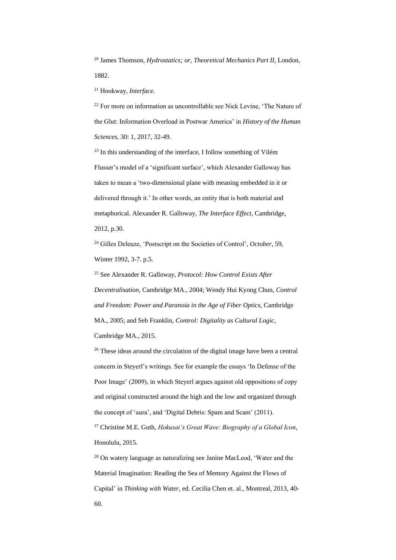<sup>20</sup> James Thomson, *Hydrostatics; or, Theoretical Mechanics Part II*, London, 1882.

<sup>21</sup> Hookway, *Interface*.

 $22$  For more on information as uncontrollable see Nick Levine, 'The Nature of the Glut: Information Overload in Postwar America' in *History of the Human Sciences*, 30: 1, 2017, 32-49.

 $23$  In this understanding of the interface, I follow something of Vilém Flusser's model of a 'significant surface', which Alexander Galloway has taken to mean a 'two-dimensional plane with meaning embedded in it or delivered through it.' In other words, an entity that is both material and metaphorical. Alexander R. Galloway, *The Interface Effect*, Cambridge, 2012, p.30.

<sup>24</sup> Gilles Deleuze, 'Postscript on the Societies of Control', *October*, 59, Winter 1992, 3-7. p.5.

<sup>25</sup> See Alexander R. Galloway, *Protocol: How Control Exists After Decentralisation*, Cambridge MA., 2004; Wendy Hui Kyong Chun, *Control and Freedom: Power and Paranoia in the Age of Fiber Optics*, Cambridge MA., 2005; and Seb Franklin, *Control: Digitality as Cultural Logic*, Cambridge MA., 2015.

<sup>26</sup> These ideas around the circulation of the digital image have been a central concern in Steyerl's writings. See for example the essays 'In Defense of the Poor Image' (2009), in which Steyerl argues against old oppositions of copy and original constructed around the high and the low and organized through the concept of 'aura', and 'Digital Debris: Spam and Scam' (2011).

<sup>27</sup> Christine M.E. Guth, *Hokusai's Great Wave: Biography of a Global Icon*, Honolulu, 2015.

<sup>28</sup> On watery language as naturalizing see Janine MacLeod, 'Water and the Material Imagination: Reading the Sea of Memory Against the Flows of Capital' in *Thinking with Water*, ed. Cecilia Chen et. al., Montreal, 2013, 40- 60.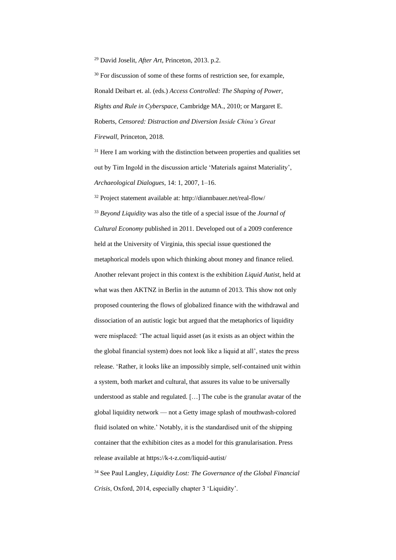<sup>29</sup> David Joselit, *After Art*, Princeton, 2013. p.2.

<sup>30</sup> For discussion of some of these forms of restriction see, for example, Ronald Deibart et. al. (eds.) *Access Controlled: The Shaping of Power, Rights and Rule in Cyberspace*, Cambridge MA., 2010; or Margaret E. Roberts, *Censored: Distraction and Diversion Inside China's Great Firewall*, Princeton, 2018.

 $31$  Here I am working with the distinction between properties and qualities set out by Tim Ingold in the discussion article 'Materials against Materiality', *Archaeological Dialogues*, 14: 1, 2007, 1–16.

<sup>32</sup> Project statement available at: http://diannbauer.net/real-flow/ <sup>33</sup> *Beyond Liquidity* was also the title of a special issue of the *Journal of Cultural Economy* published in 2011. Developed out of a 2009 conference held at the University of Virginia, this special issue questioned the metaphorical models upon which thinking about money and finance relied. Another relevant project in this context is the exhibition *Liquid Autist*, held at what was then AKTNZ in Berlin in the autumn of 2013. This show not only proposed countering the flows of globalized finance with the withdrawal and dissociation of an autistic logic but argued that the metaphorics of liquidity were misplaced: 'The actual liquid asset (as it exists as an object within the the global financial system) does not look like a liquid at all', states the press release. 'Rather, it looks like an impossibly simple, self-contained unit within a system, both market and cultural, that assures its value to be universally understood as stable and regulated. […] The cube is the granular avatar of the global liquidity network — not a Getty image splash of mouthwash-colored fluid isolated on white.' Notably, it is the standardised unit of the shipping container that the exhibition cites as a model for this granularisation. Press release available at https://k-t-z.com/liquid-autist/

<sup>34</sup> See Paul Langley, *Liquidity Lost: The Governance of the Global Financial Crisis*, Oxford, 2014, especially chapter 3 'Liquidity'.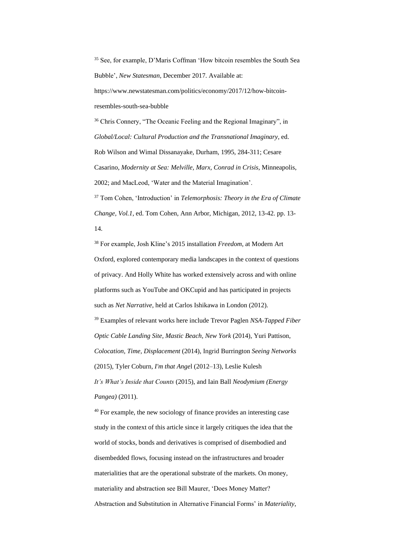<sup>35</sup> See, for example, D'Maris Coffman 'How bitcoin resembles the South Sea Bubble', *New Statesman*, December 2017. Available at: https://www.newstatesman.com/politics/economy/2017/12/how-bitcoin-

resembles-south-sea-bubble

<sup>36</sup> Chris Connery, "The Oceanic Feeling and the Regional Imaginary", in *Global/Local: Cultural Production and the Transnational Imaginary*, ed. Rob Wilson and Wimal Dissanayake, Durham, 1995, 284-311; Cesare Casarino, *Modernity at Sea: Melville, Marx, Conrad in Crisis*, Minneapolis, 2002; and MacLeod, 'Water and the Material Imagination'.

<sup>37</sup> Tom Cohen, 'Introduction' in *Telemorphosis: Theory in the Era of Climate Change, Vol.1*, ed. Tom Cohen, Ann Arbor, Michigan, 2012, 13-42. pp. 13- 14.

<sup>38</sup> For example, Josh Kline's 2015 installation *Freedom*, at Modern Art Oxford, explored contemporary media landscapes in the context of questions of privacy. And Holly White has worked extensively across and with online platforms such as YouTube and OKCupid and has participated in projects such as *Net Narrative*, held at Carlos Ishikawa in London (2012). <sup>39</sup> Examples of relevant works here include Trevor Paglen *NSA-Tapped Fiber Optic Cable Landing Site, Mastic Beach, New York* (2014), Yuri Pattison, *Colocation, Time, Displacement* (2014), Ingrid Burrington *Seeing Networks* (2015), Tyler Coburn*, I'm that Ange*l (2012–13), Leslie Kulesh *It's What's Inside that Counts* (2015), and Iain Ball *Neodymium (Energy Pangea)* (2011).

<sup>40</sup> For example, the new sociology of finance provides an interesting case study in the context of this article since it largely critiques the idea that the world of stocks, bonds and derivatives is comprised of disembodied and disembedded flows, focusing instead on the infrastructures and broader materialities that are the operational substrate of the markets. On money, materiality and abstraction see Bill Maurer, 'Does Money Matter? Abstraction and Substitution in Alternative Financial Forms' in *Materiality*,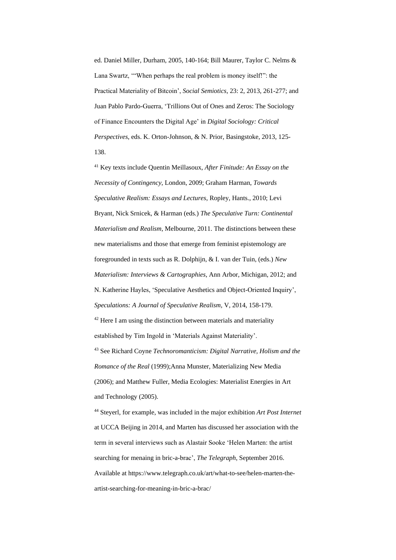ed. Daniel Miller, Durham, 2005, 140-164; Bill Maurer, Taylor C. Nelms & Lana Swartz, '"When perhaps the real problem is money itself!": the Practical Materiality of Bitcoin', *Social Semiotics*, 23: 2, 2013, 261-277; and Juan Pablo Pardo-Guerra, 'Trillions Out of Ones and Zeros: The Sociology of Finance Encounters the Digital Age' in *Digital Sociology: Critical Perspectives*, eds. K. Orton-Johnson, & N. Prior, Basingstoke, 2013, 125- 138.

<sup>41</sup> Key texts include Quentin Meillasoux, *After Finitude: An Essay on the Necessity of Contingency*, London, 2009; Graham Harman, *Towards Speculative Realism: Essays and Lectures*, Ropley, Hants., 2010; Levi Bryant, Nick Srnicek, & Harman (eds.) *The Speculative Turn: Continental Materialism and Realism*, Melbourne, 2011. The distinctions between these new materialisms and those that emerge from feminist epistemology are foregrounded in texts such as R. Dolphijn, & I. van der Tuin, (eds.) *New Materialism: Interviews & Cartographies*, Ann Arbor, Michigan, 2012; and N. Katherine Hayles, 'Speculative Aesthetics and Object-Oriented Inquiry', *Speculations: A Journal of Speculative Realism*, V, 2014, 158-179.  $42$  Here I am using the distinction between materials and materiality established by Tim Ingold in 'Materials Against Materiality'. <sup>43</sup> See Richard Coyne *Technoromanticism: Digital Narrative, Holism and the Romance of the Real* (1999);Anna Munster, Materializing New Media (2006); and Matthew Fuller, Media Ecologies: Materialist Energies in Art and Technology (2005).

<sup>44</sup> Steyerl, for example, was included in the major exhibition *Art Post Internet* at UCCA Beijing in 2014, and Marten has discussed her association with the term in several interviews such as Alastair Sooke 'Helen Marten: the artist searching for menaing in bric-a-brac', *The Telegraph*, September 2016. Available at https://www.telegraph.co.uk/art/what-to-see/helen-marten-theartist-searching-for-meaning-in-bric-a-brac/